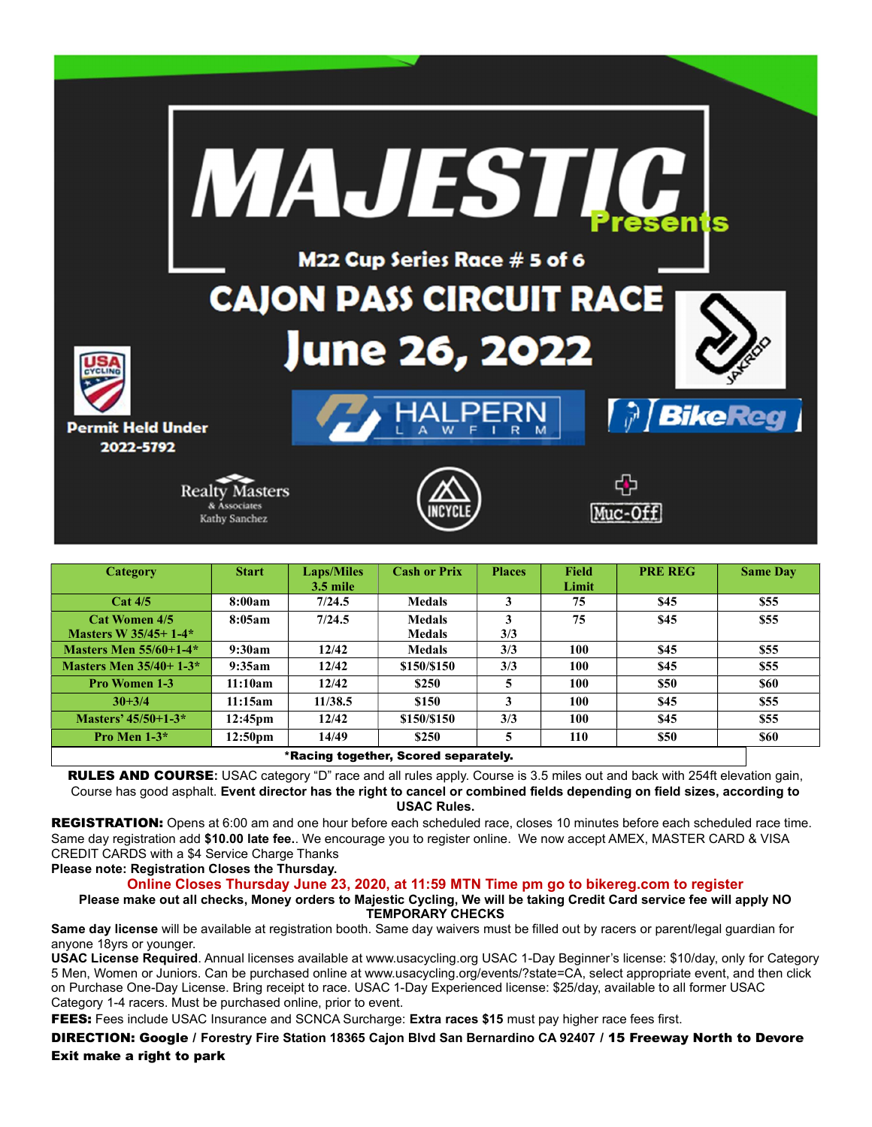

| Category                             | <b>Start</b>      | <b>Laps/Miles</b> | <b>Cash or Prix</b> | <b>Places</b> | <b>Field</b> | <b>PRE REG</b> | <b>Same Day</b> |
|--------------------------------------|-------------------|-------------------|---------------------|---------------|--------------|----------------|-----------------|
|                                      |                   | $3.5$ mile        |                     |               | Limit        |                |                 |
| Cat 4/5                              | 8:00am            | 7/24.5            | <b>Medals</b>       | 3             | 75           | \$45           | \$55            |
| <b>Cat Women 4/5</b>                 | 8:05am            | 7/24.5            | <b>Medals</b>       | 3             | 75           | \$45           | \$55            |
| Masters W 35/45+1-4*                 |                   |                   | <b>Medals</b>       | 3/3           |              |                |                 |
| <b>Masters Men 55/60+1-4*</b>        | 9:30am            | 12/42             | <b>Medals</b>       | 3/3           | 100          | \$45           | \$55            |
| Masters Men $35/40+1-3*$             | 9:35am            | 12/42             | \$150/\$150         | 3/3           | 100          | \$45           | \$55            |
| <b>Pro Women 1-3</b>                 | 11:10am           | 12/42             | \$250               | 5             | 100          | \$50           | \$60            |
| $30 + 3/4$                           | 11:15am           | 11/38.5           | \$150               | 3             | 100          | \$45           | \$55            |
| Masters' $45/50+1-3*$                | $12:45 \text{pm}$ | 12/42             | \$150/\$150         | 3/3           | 100          | \$45           | \$55            |
| Pro Men $1-3*$                       | $12:50 \text{pm}$ | 14/49             | \$250               | 5             | 110          | \$50           | \$60            |
| *Racing together, Scored separately. |                   |                   |                     |               |              |                |                 |

RULES AND COURSE: USAC category "D" race and all rules apply. Course is 3.5 miles out and back with 254ft elevation gain, Course has good asphalt. Event director has the right to cancel or combined fields depending on field sizes, according to USAC Rules.

REGISTRATION: Opens at 6:00 am and one hour before each scheduled race, closes 10 minutes before each scheduled race time. Same day registration add \$10.00 late fee.. We encourage you to register online. We now accept AMEX, MASTER CARD & VISA CREDIT CARDS with a \$4 Service Charge Thanks

## Please note: Registration Closes the Thursday.

Online Closes Thursday June 23, 2020, at 11:59 MTN Time pm go to bikereg.com to register

Please make out all checks, Money orders to Majestic Cycling, We will be taking Credit Card service fee will apply NO TEMPORARY CHECKS

Same day license will be available at registration booth. Same day waivers must be filled out by racers or parent/legal guardian for anyone 18yrs or younger.

USAC License Required. Annual licenses available at www.usacycling.org USAC 1-Day Beginner's license: \$10/day, only for Category 5 Men, Women or Juniors. Can be purchased online at www.usacycling.org/events/?state=CA, select appropriate event, and then click on Purchase One-Day License. Bring receipt to race. USAC 1-Day Experienced license: \$25/day, available to all former USAC Category 1-4 racers. Must be purchased online, prior to event.

FEES: Fees include USAC Insurance and SCNCA Surcharge: Extra races \$15 must pay higher race fees first.

DIRECTION: Google / Forestry Fire Station 18365 Cajon Blvd San Bernardino CA 92407 / 15 Freeway North to Devore Exit make a right to park